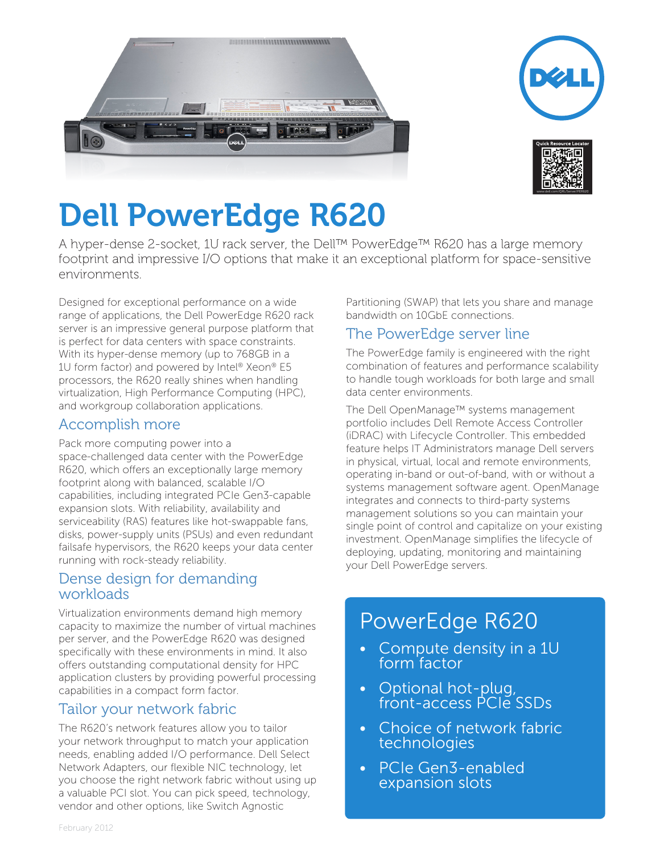





# Dell PowerEdge R620

A hyper-dense 2-socket, 1U rack server, the Dell™ PowerEdge™ R620 has a large memory footprint and impressive I/O options that make it an exceptional platform for space-sensitive environments.

Designed for exceptional performance on a wide range of applications, the Dell PowerEdge R620 rack server is an impressive general purpose platform that is perfect for data centers with space constraints. With its hyper-dense memory (up to 768GB in a 1U form factor) and powered by Intel® Xeon® E5 processors, the R620 really shines when handling virtualization, High Performance Computing (HPC), and workgroup collaboration applications.

#### Accomplish more

Pack more computing power into a

space-challenged data center with the PowerEdge R620, which offers an exceptionally large memory footprint along with balanced, scalable I/O capabilities, including integrated PCIe Gen3-capable expansion slots. With reliability, availability and serviceability (RAS) features like hot-swappable fans, disks, power-supply units (PSUs) and even redundant failsafe hypervisors, the R620 keeps your data center running with rock-steady reliability.

## Dense design for demanding workloads

Virtualization environments demand high memory capacity to maximize the number of virtual machines per server, and the PowerEdge R620 was designed specifically with these environments in mind. It also offers outstanding computational density for HPC application clusters by providing powerful processing capabilities in a compact form factor.

## Tailor your network fabric

The R620's network features allow you to tailor your network throughput to match your application needs, enabling added I/O performance. Dell Select Network Adapters, our flexible NIC technology, let you choose the right network fabric without using up a valuable PCI slot. You can pick speed, technology, vendor and other options, like Switch Agnostic

Partitioning (SWAP) that lets you share and manage bandwidth on 10GbE connections.

# The PowerEdge server line

The PowerEdge family is engineered with the right combination of features and performance scalability to handle tough workloads for both large and small data center environments.

The Dell OpenManage™ systems management portfolio includes Dell Remote Access Controller (iDRAC) with Lifecycle Controller. This embedded feature helps IT Administrators manage Dell servers in physical, virtual, local and remote environments, operating in-band or out-of-band, with or without a systems management software agent. OpenManage integrates and connects to third-party systems management solutions so you can maintain your single point of control and capitalize on your existing investment. OpenManage simplifies the lifecycle of deploying, updating, monitoring and maintaining your Dell PowerEdge servers.

# PowerEdge R620

- Compute density in a 1U form factor
- Optional hot-plug, front-access PCIe SSDs
- Choice of network fabric technologies
- PCIe Gen3-enabled expansion slots